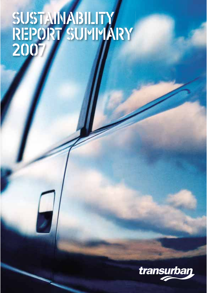## SUSTAINABILITY REPORT SUMMARY 2007

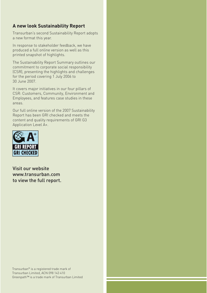## **A new look Sustainability Report**

Transurban's second Sustainability Report adopts a new format this year.

In response to stakeholder feedback, we have produced a full online version as well as this printed snapshot of highlights.

The Sustainability Report Summary outlines our commitment to corporate social responsibility (CSR), presenting the highlights and challenges for the period covering 1 July 2006 to 30 June 2007.

It covers major initiatives in our four pillars of CSR: Customers, Community, Environment and Employees, and features case studies in these areas.

Our full online version of the 2007 Sustainability Report has been GRI checked and meets the content and quality requirements of GRI G3 Application Level A+.



Visit our website www.transurban.com to view the full report.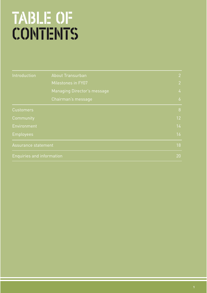## TABLE OF CONTENTS

| Introduction                     | About Transurban            | $\mathbf{2}^{\prime}$ |
|----------------------------------|-----------------------------|-----------------------|
|                                  | Milestones in FY07          | 2 <sup>1</sup>        |
|                                  | Managing Director's message | $\frac{1}{4}$         |
|                                  | Chairman's message          | $\overline{6}$        |
| <b>Customers</b>                 |                             | 8                     |
| Community                        |                             | 12 <sub>2</sub>       |
| Environment                      |                             | 14                    |
| <b>Employees</b>                 |                             | 16                    |
| Assurance statement              |                             | 18                    |
| <b>Enquiries and information</b> |                             | 20                    |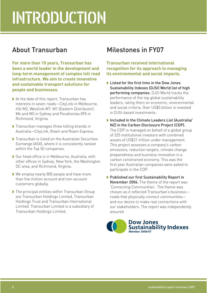# INTRODUCTION

**For more than 10 years, Transurban has been a world leader in the development and long-term management of complex toll road infrastructure. We aim to create innovative and sustainable transport solutions for people and businesses.**

- > At the date of this report, Transurban has interests in seven roads—CityLink in Melbourne, Hill M2, Westlink M7, M1 (Eastern Distributor), M4 and M5 in Sydney and Pocahontas 895 in Richmond, Virginia.
- > Transurban manages three tolling brands in Australia—CityLink, Roam and Roam Express.
- **Transurban is listed on the Australian Securities** Exchange (ASX), where it is consistently ranked within the Top 50 companies.
- Our head office is in Melbourne, Australia, with other offices in Sydney, New York, the Washington DC area, and Richmond, Virginia.
- ▶ We employ nearly 800 people and have more than five million account and non-account customers globally.
- > The principal entities within Transurban Group are Transurban Holdings Limited, Transurban Holdings Trust and Transurban International Limited. Transurban Limited is a subsidiary of Transurban Holdings Limited.

## About Transurban Milestones in FY07

## **Transurban received international recognition for its approach to managing its environmental and social impacts.**

- > Listed for the first time in the Dow Jones Sustainability Indexes (DJSI) World list of high performing companies. DJSI World tracks the performance of the top global sustainability leaders, rating them on economic, environmental and social criteria. Over US\$5 billion is invested in DJSI-based investments.
- Included in the Climate Leaders List (Australia/ NZ) in the Carbon Disclosure Project (CDP). The CDP is managed on behalf of a global group of 225 institutional investors with combined assets of US\$31 trillion under management. This project assesses a company's carbon emissions, reduction targets, climate change preparedness and business innovation in a carbon constrained economy. This was the first year Australian companies were asked to participate in the CDP.
- > Published our first Sustainability Report in November 2006. The theme of the report was 'Connecting Communities'. The theme was chosen as it reflected Transurban's business roads that physically connect communities and our desire to make real connections with our stakeholders. The report was independently assured.

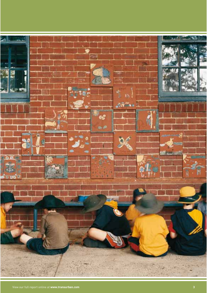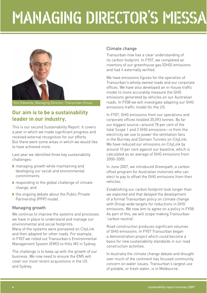# MANAGING DIRECTOR'S MESSA



Kim Edwards, Managing Director, Transurban Group

## **Our aim is to be a sustainability leader in our industry.**

This is our second Sustainability Report. It covers a year in which we made significant progress and received external recognition for our efforts. But there were some areas in which we would like to have achieved more.

Last year we identified three key sustainability challenges:

- **>** managing growth while maintaining and developing our social and environmental commitments
- **>** responding to the global challenge of climate change, and
- > the ongoing debate about the Public Private Partnership (PPP) model.

## Managing growth

We continue to improve the systems and processes we have in place to understand and manage our environmental and social footprints. Many of the systems were pioneered on CityLink and then adapted for other roads. For example, in FY07 we rolled out Transurban's Environmental Management System (EMS) to Hills M2 in Sydney.

The challenge is to keep up with the growth of our business. We now need to ensure the EMS will cover our most recent acquisitions in the US and Sydney.

## Climate change

Transurban now has a clear understanding of its carbon footprint. In FY07, we completed an inventory of our greenhouse gas (GHG) emissions and had it externally verified.

We have emissions figures for the operation of Transurban's wholly owned roads and our corporate offices. We have also developed an in-house traffic model to more accurately measure the GHG emissions generated by vehicles on our Australian roads. In FY08 we will investigate adapting our GHG emissions traffic model for the US.

In FY07, GHG emissions from our operations and corporate offices totalled 35,093 tonnes. By far our biggest source—around 78 per cent of the total Scope 1 and 2 GHG emissions—is from the electricity we use to power the ventilation fans in the Burnley and Domain Tunnels on CityLink. We have reduced our emissions on CityLink by around 10 per cent against our baseline, which is calculated as an average of GHG emissions from 2000–2005.

In June 2007, we introduced Greenpath, a carbon offset program for Australian motorists who can elect to pay to offset the GHG emissions from their vehicles.

Establishing our carbon footprint took longer than we expected and that delayed the development of a formal Transurban policy on climate change with Group-wide targets for reductions in GHG emissions. We now aim to agree on a policy in FY08. As part of this, we will scope making Transurban 'carbon neutral'.

Road construction produces significant volumes of GHG emissions. In FY07 Transurban began a demonstration project which could become a basis for new sustainability standards in our road construction activities.

In Australia the climate change debate and drought over much of the continent has focused community concern on water issues. Transurban's largest use of potable, or fresh water, is in Melbourne.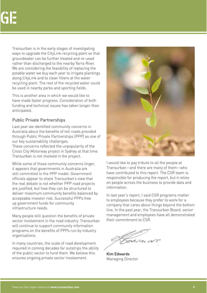Transurban is in the early stages of investigating ways to upgrade the CityLink recycling plant so that groundwater can be further treated and re-used rather than discharged to the nearby Yarra River. We are considering the feasibility of replacing the potable water we buy each year to irrigate plantings along CityLink and to clean filters at the water recycling plant. The rest of the recycled water could be used in nearby parks and sporting fields.

This is another area in which we would like to have made faster progress. Consideration of both funding and technical issues has taken longer than anticipated.

## Public Private Partnerships

Last year we identified community concerns in Australia about the benefits of toll roads provided through Public Private Partnerships (PPP) as one of our key sustainability challenges.

These concerns reflected the unpopularity of the Cross City Motorway project in Sydney at that time. Transurban is not involved in the project.

While some of those community concerns linger, it appears that governments in Australia are still committed to the PPP model. Government officials appear to share Transurban's view that the real debate is not whether PPP road projects are justified, but how they can be structured to deliver maximum community benefits balanced by acceptable investor risk. Successful PPPs free up government funds for community infrastructure needs.

Many people still question the benefits of private sector involvement in the road industry. Transurban will continue to support community information programs on the benefits of PPPs run by industry organisations.

In many countries, the scale of road development required in coming decades far outstrips the ability of the public sector to fund them. We believe this ensures ongoing private sector involvement.



I would like to pay tribute to all the people at Transurban—and there are many of them—who have contributed to this report. The CSR team is responsible for producing the report, but it relies on people across the business to provide data and information.

In last year's report, I said CSR programs matter to employees because they prefer to work for a company that cares about things beyond the bottom line. In the past year, the Transurban Board, senior management and employees have all demonstrated their commitment to CSR.

Kim Edwards Managing Director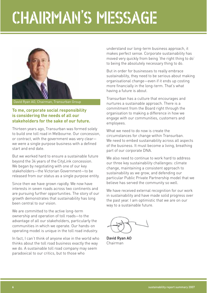# CHAIRMAN'S MESSAGE



## **To me, corporate social responsibility is considering the needs of all our stakeholders for the sake of our future.**

Thirteen years ago, Transurban was formed solely to build one toll road in Melbourne. Our concession, or contract, with the government was very clear we were a single purpose business with a defined start and end date.

But we worked hard to ensure a sustainable future beyond the 34 years of the CityLink concession. We began by negotiating with one of our key stakeholders—the Victorian Government—to be released from our status as a single purpose entity.

Since then we have grown rapidly. We now have interests in seven roads across two continents and are pursuing further opportunities. The story of our growth demonstrates that sustainability has long been central to our vision.

We are committed to the active long-term ownership and operation of toll roads—to the advantage of all our stakeholders, particularly the communities in which we operate. Our hands-on operating model is unique in the toll road industry.

In fact, I can't think of anyone else in the world who thinks about the toll road business exactly the way we do. A sustainable toll road company may seem paradoxical to our critics, but to those who

understand our long-term business approach, it makes perfect sense. Corporate sustainability has moved very quickly from being 'the right thing to do' to being the absolutely necessary thing to do.

But in order for businesses to really embrace sustainability, they need to be serious about making organisational change—even if it ends up costing more financially in the long-term. That's what having a future is about.

Transurban has a culture that encourages and nurtures a sustainable approach. There is a commitment from the Board right through the organisation to making a difference in how we engage with our communities, customers and employees.

What we need to do now is create the circumstances for change within Transurban. We need to embed sustainability across all aspects of the business. It must become a living, breathing part of our corporate DNA.

We also need to continue to work hard to address our three key sustainability challenges: climate change, maintaining a consistent approach to sustainability as we grow, and defending our particular Public Private Partnership model that we believe has served the community so well.

We have received external recognition for our work in sustainability and have made solid progress over the past year. I am optimistic that we are on our way to a sustainable future.

David Ryan AO Chairman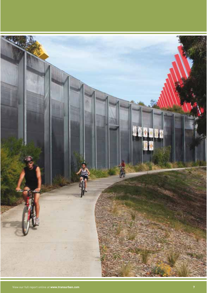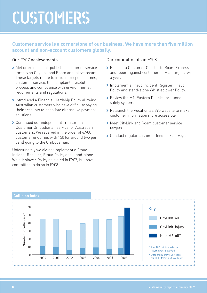## **CUSTOMERS**

**Customer service is a cornerstone of our business. We have more than five million account and non-account customers globally.**

## Our FY07 achievements

- Met or exceeded all published customer service targets on CityLink and Roam annual scorecards. These targets relate to incident response times, customer service, the complaints resolution process and compliance with environmental requirements and regulations.
- Introduced a Financial Hardship Policy allowing Australian customers who have difficulty paying their accounts to negotiate alternative payment solutions.
- Continued our independent Transurban Customer Ombudsman service for Australian customers. We received in the order of 6,900 customer enquiries with 150 (or around two per cent) going to the Ombudsman.

Unfortunately we did not implement a Fraud Incident Register, Fraud Policy and stand-alone Whistleblower Policy as stated in FY07, but have committed to do so in FY08.

### Our commitments in FY08

- Roll-out a Customer Charter to Roam Express and report against customer service targets twice a year.
- Implement a Fraud Incident Register, Fraud Policy and stand-alone Whistleblower Policy.
- Review the M1 (Eastern Distributor) tunnel safety system.
- Relaunch the Pocahontas 895 website to make customer information more accessible.
- **Meet CityLink and Roam customer service** targets.
- > Conduct regular customer feedback surveys.



## **Collision index**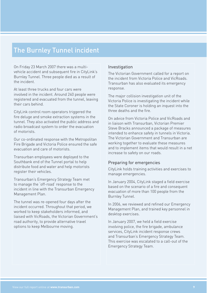## The Burnley Tunnel incident

On Friday 23 March 2007 there was a multivehicle accident and subsequent fire in CityLink's Burnley Tunnel. Three people died as a result of the incident.

At least three trucks and four cars were involved in the incident. Around 240 people were registered and evacuated from the tunnel, leaving their cars behind.

CityLink control room operators triggered the fire deluge and smoke extraction systems in the tunnel. They also activated the public address and radio broadcast system to order the evacuation of motorists.

Our co-ordinated response with the Metropolitan Fire Brigade and Victoria Police ensured the safe evacuation and care of motorists.

Transurban employees were deployed to the Southbank end of the Tunnel portal to help distribute food and water and help motorists register their vehicles.

Transurban's Emergency Strategy Team met to manage the 'off-road' response to the incident in line with the Transurban Emergency Management Plan.

The tunnel was re-opened four days after the incident occurred. Throughout that period, we worked to keep stakeholders informed, and liaised with VicRoads, the Victorian Government's road authority, to provide alternative travel options to keep Melbourne moving.

### Investigation

The Victorian Government called for a report on the incident from Victoria Police and VicRoads. Transurban has also evaluated its emergency response.

The major collision investigation unit of the Victoria Police is investigating the incident while the State Coroner is holding an inquest into the three deaths and the fire.

On advice from Victoria Police and VicRoads and in liaison with Transurban, Victorian Premier Steve Bracks announced a package of measures intended to enhance safety in tunnels in Victoria. The Victorian Government and Transurban are working together to evaluate these measures and to implement items that would result in a net increase to safety on our roads.

## Preparing for emergencies

CityLink holds training activities and exercises to manage emergencies.

In January 2004, CityLink staged a field exercise based on the scenario of a fire and consequent evacuation of more than 100 people from the Burnley Tunnel.

In 2006, we reviewed and refined our Emergency Management Plan, and trained key personnel in desktop exercises.

In January 2007, we held a field exercise involving police, the fire brigade, ambulance services, CityLink incident response crews and Transurban's Emergency Strategy Team. This exercise was escalated to a call-out of the Emergency Strategy Team.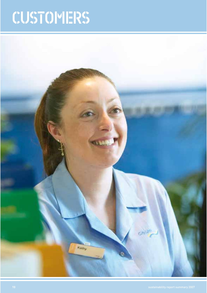# **CUSTOMERS**

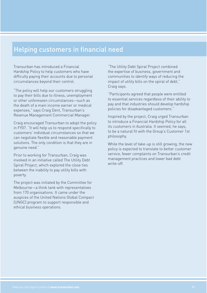## Helping customers in financial need

Transurban has introduced a Financial Hardship Policy to help customers who have difficulty paying their accounts due to personal circumstances beyond their control.

"The policy will help our customers struggling to pay their bills due to illness, unemployment or other unforeseen circumstances—such as the death of a main income earner or medical expenses," says Craig Dent, Transurban's Revenue Management Commercial Manager.

Craig encouraged Transurban to adopt the policy in FY07. "It will help us to respond specifically to customers' individual circumstances so that we can negotiate flexible and reasonable payment solutions. The only condition is that they are in genuine need."

Prior to working for Transurban, Craig was involved in an initiative called The Utility Debt Spiral Project, which explored the close ties between the inability to pay utility bills with poverty.

The project was initiated by the Committee for Melbourne—a think tank with representatives from 170 organisations. It came under the auspices of the United Nations Global Compact (UNGC) program to support responsible and ethical business operations.

"The Utility Debt Spiral Project combined the expertise of business, government and communities to identify ways of reducing the impact of utility bills on the spiral of debt," Craig says.

"Participants agreed that people were entitled to essential services regardless of their ability to pay and that industries should develop hardship policies for disadvantaged customers."

Inspired by the project, Craig urged Transurban to introduce a Financial Hardship Policy for all its customers in Australia. It seemed, he says, to be a natural fit with the Group's Customer 1st philosophy.

While the level of take-up is still growing, the new policy is expected to translate to better customer service, fewer complaints on Transurban's credit management practices and lower bad debt write-off.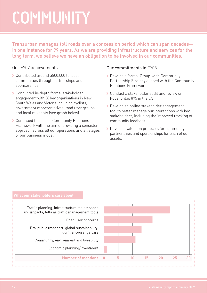# **COMMUNITY**

Transurban manages toll roads over a concession period which can span decades in one instance for 99 years. As we are providing infrastructure and services for the long term, we believe we have an obligation to be involved in our communities.

## Our FY07 achievements

- Contributed around \$800,000 to local communities through partnerships and sponsorships.
- Conducted in-depth formal stakeholder engagement with 38 key organisations in New South Wales and Victoria including cyclists, government representatives, road user groups and local residents (see graph below).
- ▶ Continued to use our Community Relations Framework with the aim of providing a consistent approach across all our operations and all stages of our business model.

## Our commitments in FY08

- **Develop a formal Group-wide Community** Partnership Strategy aligned with the Community Relations Framework.
- Conduct a stakeholder audit and review on Pocahontas 895 in the US.
- Develop an online stakeholder engagement tool to better manage our interactions with key stakeholders, including the improved tracking of community feedback.
- Develop evaluation protocols for community partnerships and sponsorships for each of our assets.

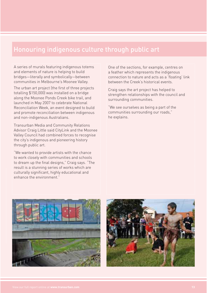A series of murals featuring indigenous totems and elements of nature is helping to build bridges—literally and symbolically—between communities in Melbourne's Moonee Valley.

The urban art project (the first of three projects totalling \$150,000) was installed on a bridge along the Moonee Ponds Creek bike trail, and launched in May 2007 to celebrate National Reconciliation Week, an event designed to build and promote reconciliation between indigenous and non-indigenous Australians.

Transurban Media and Community Relations Advisor Craig Little said CityLink and the Moonee Valley Council had combined forces to recognise the city's indigenous and pioneering history through public art.

"We wanted to provide artists with the chance to work closely with communities and schools to dream up the final designs," Craig says. "The result is a stunning series of works which are culturally significant, highly educational and enhance the environment."

One of the sections, for example, centres on a feather which represents the indigenous connection to nature and acts as a 'floating' link between the Creek's historical events.

Craig says the art project has helped to strengthen relationships with the council and surrounding communities.

"We see ourselves as being a part of the communities surrounding our roads," he explains.



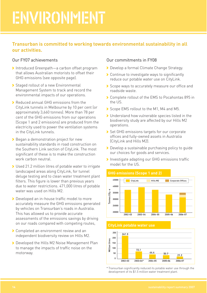## **ENVIRONMENT**

## **Transurban is committed to working towards environmental sustainability in all our activities.**

## Our FY07 achievements

- ▶ Introduced Greenpath—a carbon offset program that allows Australian motorists to offset their GHG emissions (see opposite page).
- Staged rollout of a new Environmental Management System to track and record the environmental impacts of our operations.
- Reduced annual GHG emissions from the CityLink tunnels in Melbourne by 10 per cent (or approximately 3,660 tonnes). More than 78 per cent of the GHG emissions from our operations (Scope 1 and 2 emissions) are produced from the electricity used to power the ventilation systems in the CityLink tunnels.
- > Began a demonstration project for new sustainability standards in road construction on the Southern Link section of CityLink. The most significant of these is to make the construction work carbon neutral.
- > Used 21.2 million litres of potable water to irrigate landscaped areas along CityLink, for tunnel deluge testing and to clean water treatment plant filters. This figure is lower than previous years due to water restrictions. 471,000 litres of potable water was used on Hills M2.
- **Developed an in-house traffic model to more** accurately measure the GHG emissions generated by vehicles on Transurban's roads in Australia. This has allowed us to provide accurate assessments of the emissions savings by driving on our roads compared with competing routes,
- **>** Completed an environment review and an independent biodiversity review on Hills M2.
- ▶ Developed the Hills M2 Noise Management Plan to manage the impacts of traffic noise on the motorway.

## Our commitments in FY08

- **Develop a formal Climate Change Strategy.**
- **>** Continue to investigate ways to significantly reduce our potable water use on CityLink.
- Scope ways to accurately measure our office and roadside waste.
- ▶ Complete rollout of the EMS to Pocahontas 895 in  $tha$   $115$ .
- Scope EMS rollout to the M1, M4 and M5.
- Understand how vulnerable species listed in the biodiversity study are affected by our Hills M2 operations.
- Set GHG emissions targets for our corporate offices and fully-owned assets in Australia (CityLink and Hills M2).
- ▶ Develop a sustainable purchasing policy to quide our choices for goods and services.
- Investigate adapting our GHG emissions traffic model for the US.



### **CityLink potable water use**



\* Transurban significantly reduced its potable water use through the development of its \$1.5 million water treatment plant.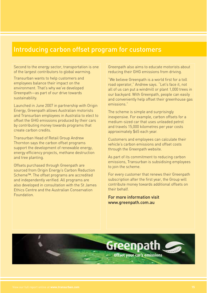## Introducing carbon offset program for customers

Second to the energy sector, transportation is one of the largest contributors to global warming.

Transurban wants to help customers and employees balance their impact on the environment. That's why we've developed Greenpath—as part of our drive towards sustainability.

Launched in June 2007 in partnership with Origin Energy, Greenpath allows Australian motorists and Transurban employees in Australia to elect to offset the GHG emissions produced by their cars by contributing money towards programs that create carbon credits.

Transurban Head of Retail Group Andrew Thornton says the carbon offset programs support the development of renewable energy, energy efficiency projects, methane destruction and tree planting.

Offsets purchased through Greenpath are sourced from Origin Energy's Carbon Reduction Scheme™. The offset programs are accredited and independently verified. All programs are also developed in consultation with the St James Ethics Centre and the Australian Conservation Foundation.

Greenpath also aims to educate motorists about reducing their GHG emissions from driving.

"We believe Greenpath is a world first for a toll road operator," Andrew says. "Let's face it, not all of us can put a windmill or plant 1,000 trees in our backyard. With Greenpath, people can easily and conveniently help offset their greenhouse gas emissions."

The scheme is simple and surprisingly inexpensive. For example, carbon offsets for a medium-sized car that uses unleaded petrol and travels 15,000 kilometres per year costs approximately \$65 each year.

Customers and employees can calculate their vehicle's carbon emissions and offset costs through the Greenpath website.

As part of its commitment to reducing carbon emissions, Transurban is subsidising employees to join the scheme.

For every customer that renews their Greenpath subscription after the first year, the Group will contribute money towards additional offsets on their behalf.

For more information visit www.greenpath.com.au

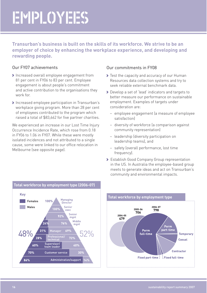# EMPLOYEES

**Transurban's business is built on the skills of its workforce. We strive to be an employer of choice by enhancing the workplace experience, and developing and rewarding people.**

## Our FY07 achievements

- Increased overall employee engagement from 81 per cent in FY06 to 83 per cent. Employee engagement is about people's commitment and active contribution to the organisations they work for.
- Increased employee participation in Transurban's workplace giving program. More than 28 per cent of employees contributed to the program which raised a total of \$83,662 for five partner charities.

We experienced an increase in our Lost Time Injury Occurrence Incidence Rate, which rose from 0.18 in FY06 to 1.06 in FY07. While these were mostly isolated incidences and not attributed to a single cause, some were linked to our office relocation in Melbourne (see opposite page).

## Our commitments in FY08

- Test the capacity and accuracy of our Human Resources data collection systems and try to seek reliable external benchmark data.
- Develop a set of 'lead' indicators and targets to better measure our performance on sustainable employment. Examples of targets under consideration are:
	- employee engagement (a measure of employee satisfaction)
	- diversity of workforce (a comparison against community representation)
	- leadership (diversity participation on leadership teams), and
	- safety (overall performance, lost time frequency).
- **>** Establish Good Company Group representation in the US. In Australia the employee-based group meets to generate ideas and act on Transurban's community and environmental impacts.



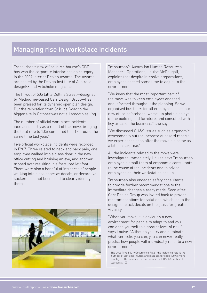## Managing rise in workplace incidents

Transurban's new office in Melbourne's CBD has won the corporate interior design category in the 2007 Interior Design Awards. The Awards are hosted by the Design Institute of Australia, designEX and Artichoke magazine.

The fit-out of 505 Little Collins Street—designed by Melbourne-based Carr Design Group—has been praised for its dynamic open plan design. But the relocation from St Kilda Road to the bigger site in October was not all smooth sailing.

The number of official workplace incidents increased partly as a result of the move, bringing the total rate to 1.06 compared to 0.18 around the same time last year.\*

Five official workplace incidents were recorded in FY07. Three related to neck and back pain, one employee walked into a glass door in the new office cutting and bruising an eye, and another tripped over resulting in a fractured left foot. There were also a handful of instances of people walking into glass doors as decals, or decorative stickers, had not been used to clearly identify them.



Transurban's Australian Human Resources Manager—Operations, Louise McDougall, explains that despite intensive preparations, employees needed some time to adjust to the environment.

"We knew that the most important part of the move was to keep employees engaged and informed throughout the planning. So we organised bus tours for all employees to see our new office beforehand, we set up photo displays of the building and furniture, and consulted with key areas of the business," she says.

"We discussed OH&S issues such as ergonomic assessments but the increase of hazard reports we experienced soon after the move did come as a bit of a surprise."

All the incidents related to the move were investigated immediately. Louise says Transurban employed a small team of ergonomic consultants to the cause of the incidents and to advise employees on their workstation set-up.

Transurban also engaged safety consultants to provide further recommendations to the immediate changes already made. Soon after, Carr Design Group was invited back to provide recommendations for solutions, which led to the design of black decals on the glass for greater visibility.

"When you move, it is obviously a new environment for people to adapt to and you can open yourself to a greater level of risk," says Louise. "Although you try and eliminate whatever risks you can, you can never really predict how people will individually react to a new environment."

\* The Lost Time Injury Occurrence Rate—the incidence rate is the number of lost time injuries and diseases for each 100 workers employed. The formula used is: number of LTI&Ds/number of workers x 100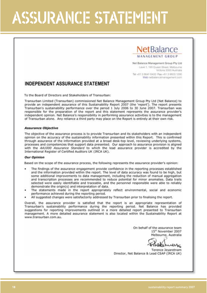## ASSURANCE STATEMENT



Net Balance Management Group Pty Ltd.

Level 1, 190 Queen Street, Melbourne Victoria 2000 Australia Tel: +61 3 8641 6400 Fax +61 3 9600 1295 Web netbalancemanagement.com

## **INDEPENDENT ASSURANCE STATEMENT**

To the Board of Directors and Stakeholders of Transurban:

Transurban Limited (Transurban) commissioned Net Balance Management Group Pty Ltd (Net Balance) to provide an independent assurance of this Sustainability Report 2007 (the 'report'). The report presents Transurban's sustainability performance over the period 1 July 2006 to 30 June 2007. Transurban was responsible for the preparation of the report and this statement represents the assurance provider's independent opinion. Net Balance's responsibility in performing assurance activities is to the management of Transurban alone. Any reliance a third party may place on the Report is entirely at their own risk.

### **Assurance Objective**

The objective of the assurance process is to provide Transurban and its stakeholders with an independent opinion on the accuracy of the sustainability information presented within this Report. This is confirmed through assurance of the information provided at a broad desk-top level, reviewing underlying systems, processes and competencies that support data presented. Our approach to assurance provision is aligned with the AA1000 Assurance Standard to which the lead assurance provider is accredited by the International Register of Certified Auditors UK (IRCA UK).

### **Our Opinion**

Based on the scope of the assurance process, the following represents the assurance provider's opinion:

- The findings of the assurance engagement provide confidence in the reporting processes established and the information provided within the report. The level of data accuracy was found to be high, but some additional improvements to data management, including the reduction of manual aggregation and transcription processes are recommended to reduce potential for minor anomalies. Data trails selected were easily identifiable and traceable, and the personnel responsible were able to reliably demonstrate the origin(s) and interpretation of data.
- The statements made in the report appropriately reflect environmental, social and economic performance achieved during the reporting period.
- All suggested changes were satisfactorily addressed by Transurban prior to finalising the report.

Overall, the assurance provider is satisfied that the report is an appropriate representation of Transurban's sustainability performance during the reporting period. Net Balance has provided suggestions for reporting improvements outlined in a more detailed report presented to Transurban management. A more detailed assurance statement is also located within the Sustainability Report at www.transurban.com.au.

> On behalf of the assurance team 15<sup>th</sup> November 2007 Melbourne, Australia

atshier

Terence Jeyaretnam Director, Net Balance & Lead CSAP (IRCA UK)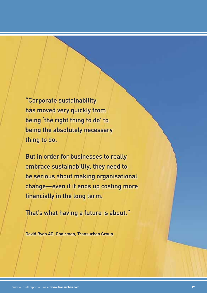"Corporate sustainability has moved very quickly from being 'the right thing to do' to being the absolutely necessary thing to do.

But in order for businesses to really embrace sustainability, they need to be serious about making organisational change—even if it ends up costing more financially in the long term.

That's what having a future is about."

David Ryan AO, Chairman, Transurban Group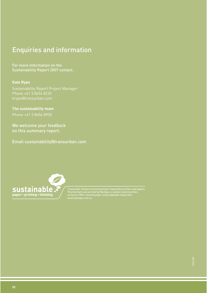## Enquiries and information

For more information on the

### **Kate Ryan**

**The sustainability team**

We welcome your feedback on this summary report.

Email sustainability@transurban.com



Transurban chooses environmentally-responsible printers and papers. This brochure was printed by Mystique, a carbon-neutral printer, on Cyclus 100% recycled paper using vegetable-based inks. www.mystique.com.au